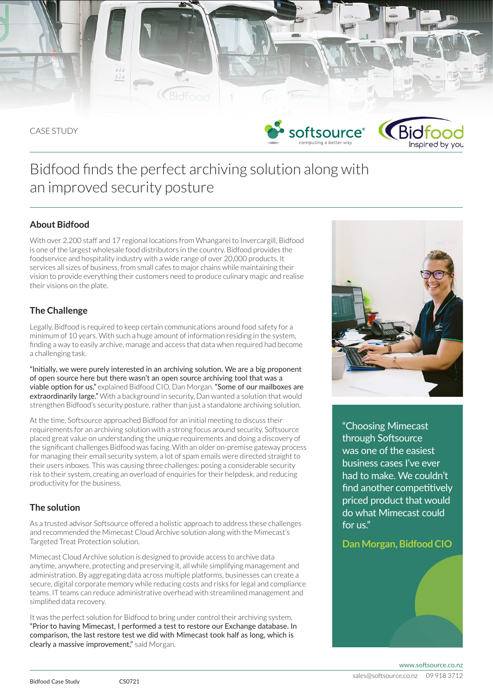

# Bidfood finds the perfect archiving solution along with an improved security posture

# **About Bidfood**

With over 2,200 staff and 17 regional locations from Whangarei to Invercargill, Bidfood is one of the largest wholesale food distributors in the country. Bidfood provides the foodservice and hospitality industry with a wide range of over 20,000 products. It services all sizes of business, from small cafes to major chains while maintaining their vision to provide everything their customers need to produce culinary magic and realise their visions on the plate.

# **The Challenge**

Legally, Bidfood is required to keep certain communications around food safety for a minimum of 10 years. With such a huge amount of information residing in the system, finding a way to easily archive, manage and access that data when required had become a challenging task.

"Initially, we were purely interested in an archiving solution. We are a big proponent of open source here but there wasn't an open source archiving tool that was a viable option for us," explained Bidfood CIO, Dan Morgan. "Some of our mailboxes are extraordinarily large." With a background in security, Dan wanted a solution that would strengthen Bidfood's security posture, rather than just a standalone archiving solution.

At the time, Softsource approached Bidfood for an initial meeting to discuss their requirements for an archiving solution with a strong focus around security. Softsource placed great value on understanding the unique requirements and doing a discovery of the significant challenges Bidfood was facing. With an older on-premise gateway process for managing their email security system, a lot of spam emails were directed straight to their users inboxes. This was causing three challenges: posing a considerable security risk to their system, creating an overload of enquiries for their helpdesk, and reducing productivity for the business.

# **The solution**

As a trusted advisor Softsource offered a holistic approach to address these challenges and recommended the Mimecast Cloud Archive solution along with the Mimecast's Targeted Treat Protection solution.

Mimecast Cloud Archive solution is designed to provide access to archive data anytime, anywhere, protecting and preserving it, all while simplifying management and administration. By aggregating data across multiple platforms, businesses can create a secure, digital corporate memory while reducing costs and risks for legal and compliance teams. IT teams can reduce administrative overhead with streamlined management and simplified data recovery.

It was the perfect solution for Bidfood to bring under control their archiving system. "Prior to having Mimecast, I performed a test to restore our Exchange database. In comparison, the last restore test we did with Mimecast took half as long, which is clearly a massive improvement," said Morgan.



"Choosing Mimecast through Softsource was one of the easiest business cases I've ever had to make. We couldn't find another competitively priced product that would do what Mimecast could for us."

## **Dan Morgan, Bidfood CIO**